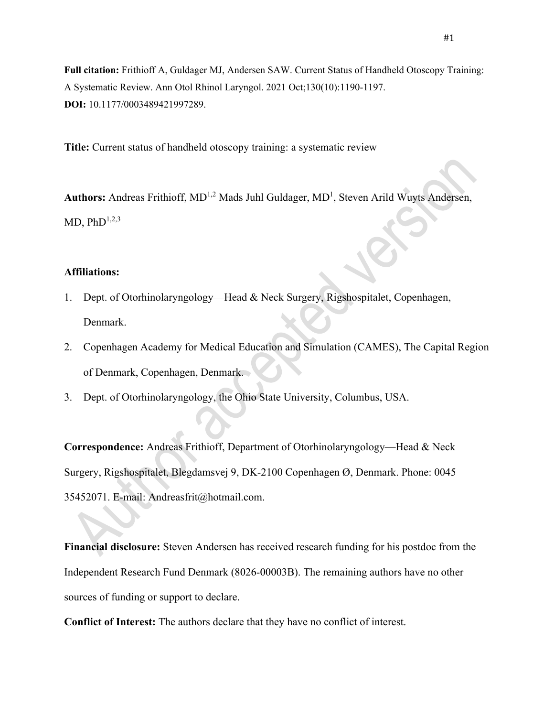**Full citation:** Frithioff A, Guldager MJ, Andersen SAW. Current Status of Handheld Otoscopy Training: A Systematic Review. Ann Otol Rhinol Laryngol. 2021 Oct;130(10):1190-1197. **DOI:** 10.1177/0003489421997289.

**Title:** Current status of handheld otoscopy training: a systematic review

Authors: Andreas Frithioff, MD<sup>1,2</sup> Mads Juhl Guldager, MD<sup>1</sup>, Steven Arild Wuyts Andersen, MD,  $PhD^{1,2,3}$ 

### **Affiliations:**

- 1. Dept. of Otorhinolaryngology—Head & Neck Surgery, Rigshospitalet, Copenhagen, Denmark.
- 2. Copenhagen Academy for Medical Education and Simulation (CAMES), The Capital Region of Denmark, Copenhagen, Denmark.
- 3. Dept. of Otorhinolaryngology, the Ohio State University, Columbus, USA.

**Correspondence:** Andreas Frithioff, Department of Otorhinolaryngology—Head & Neck Surgery, Rigshospitalet, Blegdamsvej 9, DK-2100 Copenhagen Ø, Denmark. Phone: 0045 35452071. E-mail: Andreasfrit@hotmail.com.

**Financial disclosure:** Steven Andersen has received research funding for his postdoc from the Independent Research Fund Denmark (8026-00003B). The remaining authors have no other sources of funding or support to declare.

**Conflict of Interest:** The authors declare that they have no conflict of interest.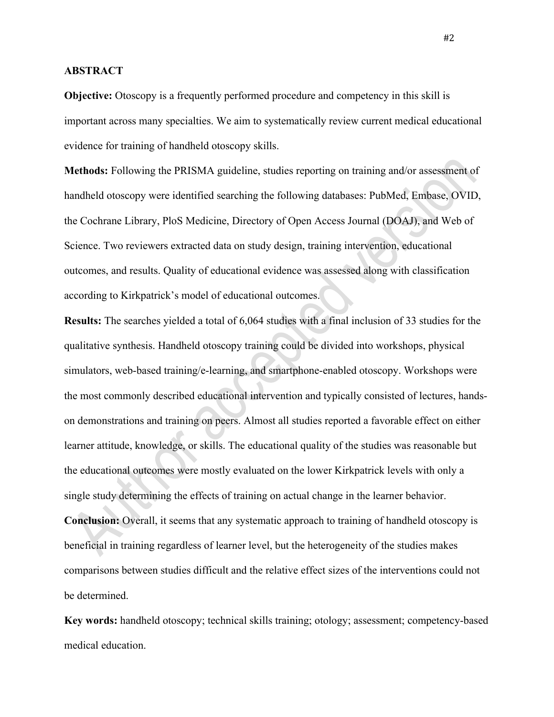### **ABSTRACT**

**Objective:** Otoscopy is a frequently performed procedure and competency in this skill is important across many specialties. We aim to systematically review current medical educational evidence for training of handheld otoscopy skills.

**Methods:** Following the PRISMA guideline, studies reporting on training and/or assessment of handheld otoscopy were identified searching the following databases: PubMed, Embase, OVID, the Cochrane Library, PloS Medicine, Directory of Open Access Journal (DOAJ), and Web of Science. Two reviewers extracted data on study design, training intervention, educational outcomes, and results. Quality of educational evidence was assessed along with classification according to Kirkpatrick's model of educational outcomes.

**Results:** The searches yielded a total of 6,064 studies with a final inclusion of 33 studies for the qualitative synthesis. Handheld otoscopy training could be divided into workshops, physical simulators, web-based training/e-learning, and smartphone-enabled otoscopy. Workshops were the most commonly described educational intervention and typically consisted of lectures, handson demonstrations and training on peers. Almost all studies reported a favorable effect on either learner attitude, knowledge, or skills. The educational quality of the studies was reasonable but the educational outcomes were mostly evaluated on the lower Kirkpatrick levels with only a single study determining the effects of training on actual change in the learner behavior. **Conclusion:** Overall, it seems that any systematic approach to training of handheld otoscopy is beneficial in training regardless of learner level, but the heterogeneity of the studies makes comparisons between studies difficult and the relative effect sizes of the interventions could not be determined.

**Key words:** handheld otoscopy; technical skills training; otology; assessment; competency-based medical education.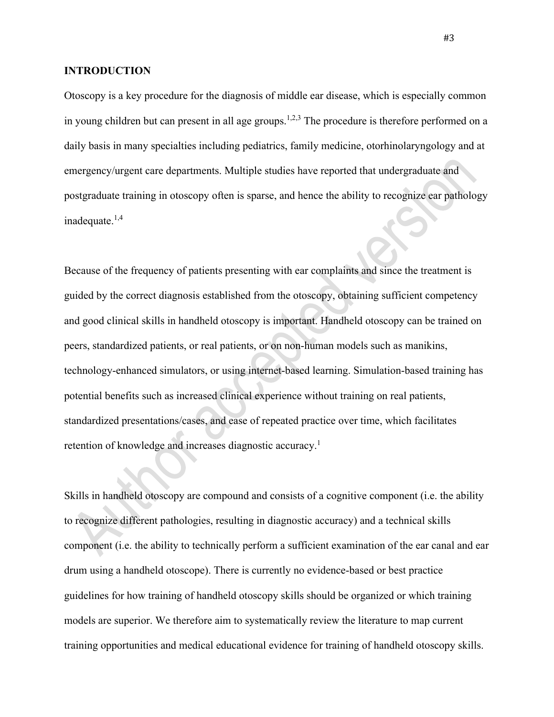## **INTRODUCTION**

Otoscopy is a key procedure for the diagnosis of middle ear disease, which is especially common in young children but can present in all age groups.<sup>1,2,3</sup> The procedure is therefore performed on a daily basis in many specialties including pediatrics, family medicine, otorhinolaryngology and at emergency/urgent care departments. Multiple studies have reported that undergraduate and postgraduate training in otoscopy often is sparse, and hence the ability to recognize ear pathology inadequate. 1,4

Because of the frequency of patients presenting with ear complaints and since the treatment is guided by the correct diagnosis established from the otoscopy, obtaining sufficient competency and good clinical skills in handheld otoscopy is important. Handheld otoscopy can be trained on peers, standardized patients, or real patients, or on non-human models such as manikins, technology-enhanced simulators, or using internet-based learning. Simulation-based training has potential benefits such as increased clinical experience without training on real patients, standardized presentations/cases, and ease of repeated practice over time, which facilitates retention of knowledge and increases diagnostic accuracy.<sup>1</sup>

Skills in handheld otoscopy are compound and consists of a cognitive component (i.e. the ability to recognize different pathologies, resulting in diagnostic accuracy) and a technical skills component (i.e. the ability to technically perform a sufficient examination of the ear canal and ear drum using a handheld otoscope). There is currently no evidence-based or best practice guidelines for how training of handheld otoscopy skills should be organized or which training models are superior. We therefore aim to systematically review the literature to map current training opportunities and medical educational evidence for training of handheld otoscopy skills.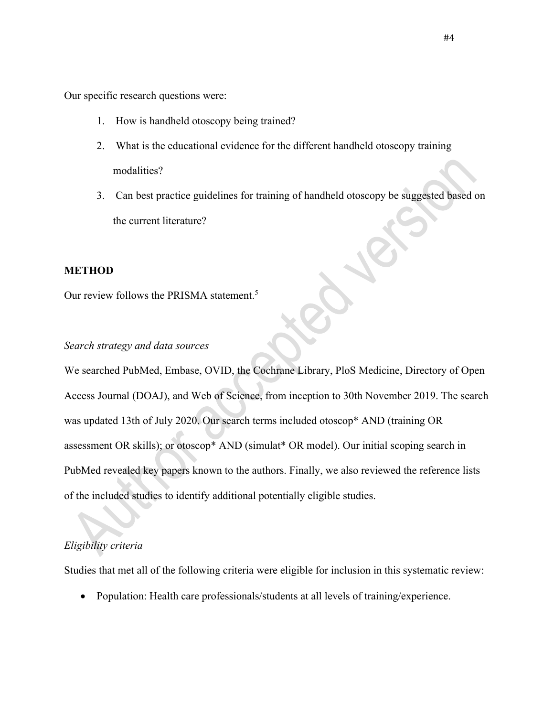Our specific research questions were:

- 1. How is handheld otoscopy being trained?
- 2. What is the educational evidence for the different handheld otoscopy training modalities?
- 3. Can best practice guidelines for training of handheld otoscopy be suggested based on the current literature?

### **METHOD**

Our review follows the PRISMA statement.<sup>5</sup>

# *Search strategy and data sources*

We searched PubMed, Embase, OVID, the Cochrane Library, PloS Medicine, Directory of Open Access Journal (DOAJ), and Web of Science, from inception to 30th November 2019. The search was updated 13th of July 2020. Our search terms included otoscop\* AND (training OR assessment OR skills); or otoscop\* AND (simulat\* OR model). Our initial scoping search in PubMed revealed key papers known to the authors. Finally, we also reviewed the reference lists of the included studies to identify additional potentially eligible studies.

### *Eligibility criteria*

Studies that met all of the following criteria were eligible for inclusion in this systematic review:

• Population: Health care professionals/students at all levels of training/experience.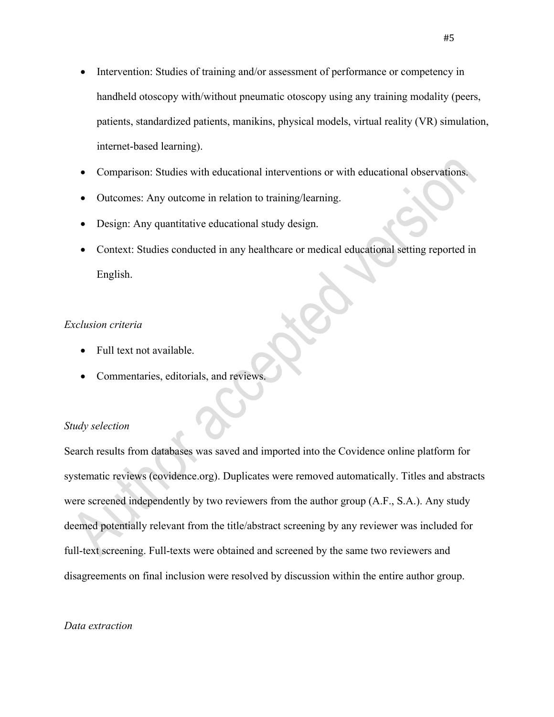- Intervention: Studies of training and/or assessment of performance or competency in handheld otoscopy with/without pneumatic otoscopy using any training modality (peers, patients, standardized patients, manikins, physical models, virtual reality (VR) simulation, internet-based learning).
- Comparison: Studies with educational interventions or with educational observations.
- Outcomes: Any outcome in relation to training/learning.
- Design: Any quantitative educational study design.
- Context: Studies conducted in any healthcare or medical educational setting reported in English.

### *Exclusion criteria*

- Full text not available.
- Commentaries, editorials, and reviews.

#### *Study selection*

Search results from databases was saved and imported into the Covidence online platform for systematic reviews (covidence.org). Duplicates were removed automatically. Titles and abstracts were screened independently by two reviewers from the author group (A.F., S.A.). Any study deemed potentially relevant from the title/abstract screening by any reviewer was included for full-text screening. Full-texts were obtained and screened by the same two reviewers and disagreements on final inclusion were resolved by discussion within the entire author group.

#### *Data extraction*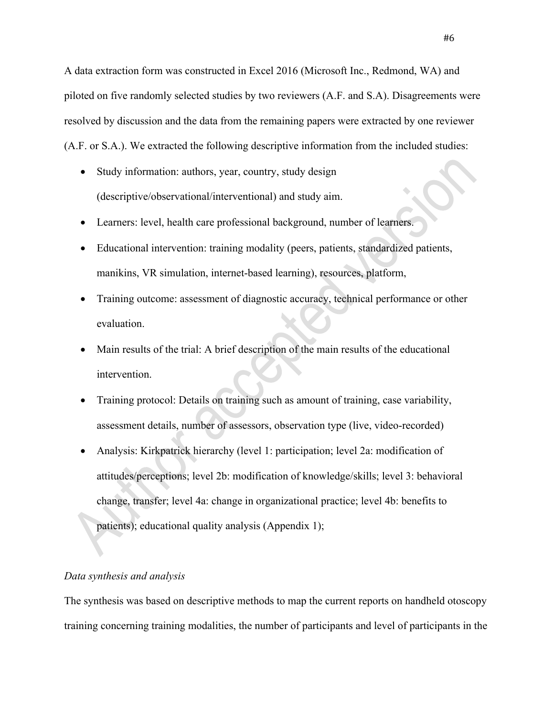A data extraction form was constructed in Excel 2016 (Microsoft Inc., Redmond, WA) and piloted on five randomly selected studies by two reviewers (A.F. and S.A). Disagreements were resolved by discussion and the data from the remaining papers were extracted by one reviewer (A.F. or S.A.). We extracted the following descriptive information from the included studies:

- Study information: authors, year, country, study design (descriptive/observational/interventional) and study aim.
- Learners: level, health care professional background, number of learners.
- Educational intervention: training modality (peers, patients, standardized patients, manikins, VR simulation, internet-based learning), resources, platform,
- Training outcome: assessment of diagnostic accuracy, technical performance or other evaluation.
- Main results of the trial: A brief description of the main results of the educational intervention.
- Training protocol: Details on training such as amount of training, case variability, assessment details, number of assessors, observation type (live, video-recorded)
- Analysis: Kirkpatrick hierarchy (level 1: participation; level 2a: modification of attitudes/perceptions; level 2b: modification of knowledge/skills; level 3: behavioral change, transfer; level 4a: change in organizational practice; level 4b: benefits to patients); educational quality analysis (Appendix 1);

#### *Data synthesis and analysis*

The synthesis was based on descriptive methods to map the current reports on handheld otoscopy training concerning training modalities, the number of participants and level of participants in the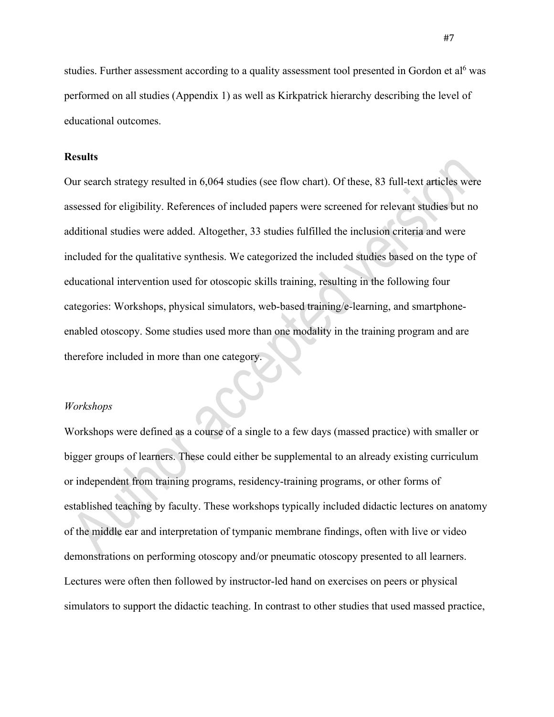studies. Further assessment according to a quality assessment tool presented in Gordon et al<sup>6</sup> was performed on all studies (Appendix 1) as well as Kirkpatrick hierarchy describing the level of educational outcomes.

### **Results**

Our search strategy resulted in 6,064 studies (see flow chart). Of these, 83 full-text articles were assessed for eligibility. References of included papers were screened for relevant studies but no additional studies were added. Altogether, 33 studies fulfilled the inclusion criteria and were included for the qualitative synthesis. We categorized the included studies based on the type of educational intervention used for otoscopic skills training, resulting in the following four categories: Workshops, physical simulators, web-based training/e-learning, and smartphoneenabled otoscopy. Some studies used more than one modality in the training program and are therefore included in more than one category.

### *Workshops*

Workshops were defined as a course of a single to a few days (massed practice) with smaller or bigger groups of learners. These could either be supplemental to an already existing curriculum or independent from training programs, residency-training programs, or other forms of established teaching by faculty. These workshops typically included didactic lectures on anatomy of the middle ear and interpretation of tympanic membrane findings, often with live or video demonstrations on performing otoscopy and/or pneumatic otoscopy presented to all learners. Lectures were often then followed by instructor-led hand on exercises on peers or physical simulators to support the didactic teaching. In contrast to other studies that used massed practice,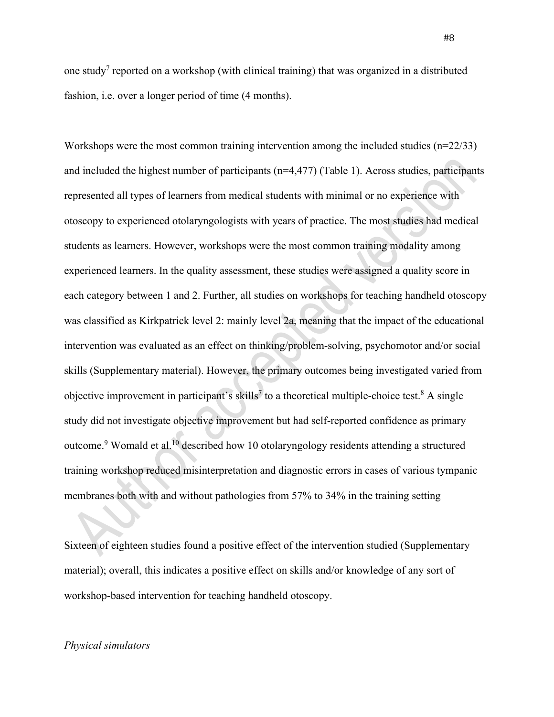one study<sup>7</sup> reported on a workshop (with clinical training) that was organized in a distributed fashion, i.e. over a longer period of time (4 months).

Workshops were the most common training intervention among the included studies (n=22/33) and included the highest number of participants  $(n=4,477)$  (Table 1). Across studies, participants represented all types of learners from medical students with minimal or no experience with otoscopy to experienced otolaryngologists with years of practice. The most studies had medical students as learners. However, workshops were the most common training modality among experienced learners. In the quality assessment, these studies were assigned a quality score in each category between 1 and 2. Further, all studies on workshops for teaching handheld otoscopy was classified as Kirkpatrick level 2: mainly level 2a, meaning that the impact of the educational intervention was evaluated as an effect on thinking/problem-solving, psychomotor and/or social skills (Supplementary material). However, the primary outcomes being investigated varied from objective improvement in participant's skills<sup>7</sup> to a theoretical multiple-choice test.<sup>8</sup> A single study did not investigate objective improvement but had self-reported confidence as primary outcome.<sup>9</sup> Womald et al.<sup>10</sup> described how 10 otolaryngology residents attending a structured training workshop reduced misinterpretation and diagnostic errors in cases of various tympanic membranes both with and without pathologies from 57% to 34% in the training setting

Sixteen of eighteen studies found a positive effect of the intervention studied (Supplementary material); overall, this indicates a positive effect on skills and/or knowledge of any sort of workshop-based intervention for teaching handheld otoscopy.

#### *Physical simulators*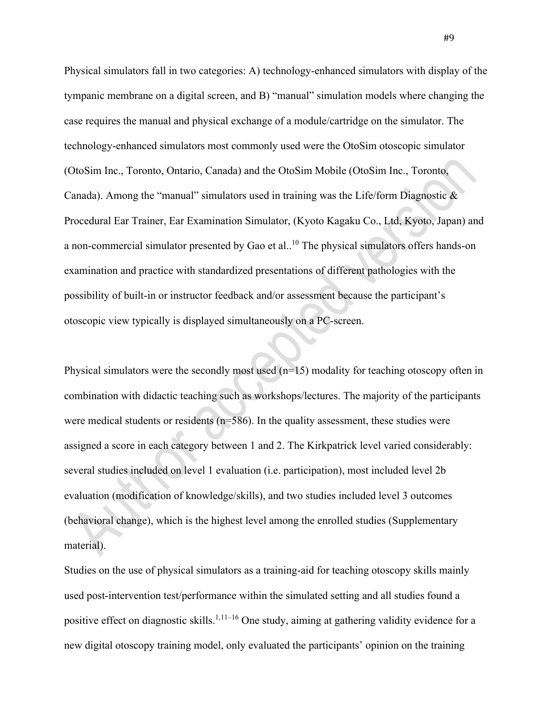Physical simulators fall in two categories: A) technology-enhanced simulators with display of the tympanic membrane on a digital screen, and B) "manual" simulation models where changing the case requires the manual and physical exchange of a module/cartridge on the simulator. The technology-enhanced simulators most commonly used were the OtoSim otoscopic simulator (OtoSim Inc., Toronto, Ontario, Canada) and the OtoSim Mobile (OtoSim Inc., Toronto, Canada). Among the "manual" simulators used in training was the Life/form Diagnostic  $\&$ Procedural Ear Trainer, Ear Examination Simulator, (Kyoto Kagaku Co., Ltd, Kyoto, Japan) and a non-commercial simulator presented by Gao et al..<sup>10</sup> The physical simulators offers hands-on examination and practice with standardized presentations of different pathologies with the possibility of built-in or instructor feedback and/or assessment because the participant's otoscopic view typically is displayed simultaneously on a PC-screen.

Physical simulators were the secondly most used  $(n=15)$  modality for teaching otoscopy often in combination with didactic teaching such as workshops/lectures. The majority of the participants were medical students or residents ( $n=586$ ). In the quality assessment, these studies were assigned a score in each category between 1 and 2. The Kirkpatrick level varied considerably: several studies included on level 1 evaluation (i.e. participation), most included level 2b evaluation (modification of knowledge/skills), and two studies included level 3 outcomes (behavioral change), which is the highest level among the enrolled studies (Supplementary material).

Studies on the use of physical simulators as a training-aid for teaching otoscopy skills mainly used post-intervention test/performance within the simulated setting and all studies found a positive effect on diagnostic skills.<sup>1,11-16</sup> One study, aiming at gathering validity evidence for a new digital otoscopy training model, only evaluated the participants' opinion on the training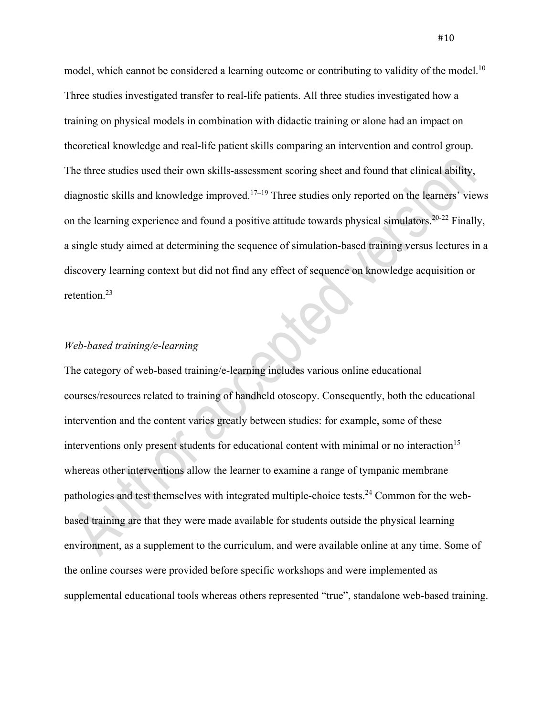model, which cannot be considered a learning outcome or contributing to validity of the model.<sup>10</sup> Three studies investigated transfer to real-life patients. All three studies investigated how a training on physical models in combination with didactic training or alone had an impact on theoretical knowledge and real-life patient skills comparing an intervention and control group. The three studies used their own skills-assessment scoring sheet and found that clinical ability, diagnostic skills and knowledge improved.<sup>17–19</sup> Three studies only reported on the learners' views on the learning experience and found a positive attitude towards physical simulators.<sup>20-22</sup> Finally, a single study aimed at determining the sequence of simulation-based training versus lectures in a discovery learning context but did not find any effect of sequence on knowledge acquisition or retention. 23

### *Web-based training/e-learning*

The category of web-based training/e-learning includes various online educational courses/resources related to training of handheld otoscopy. Consequently, both the educational intervention and the content varies greatly between studies: for example, some of these interventions only present students for educational content with minimal or no interaction<sup>15</sup> whereas other interventions allow the learner to examine a range of tympanic membrane pathologies and test themselves with integrated multiple-choice tests.<sup>24</sup> Common for the webbased training are that they were made available for students outside the physical learning environment, as a supplement to the curriculum, and were available online at any time. Some of the online courses were provided before specific workshops and were implemented as supplemental educational tools whereas others represented "true", standalone web-based training.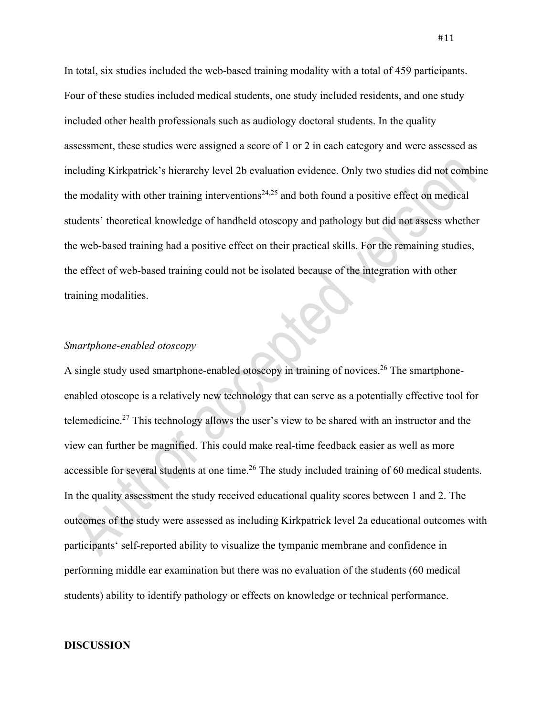In total, six studies included the web-based training modality with a total of 459 participants. Four of these studies included medical students, one study included residents, and one study included other health professionals such as audiology doctoral students. In the quality assessment, these studies were assigned a score of 1 or 2 in each category and were assessed as including Kirkpatrick's hierarchy level 2b evaluation evidence. Only two studies did not combine the modality with other training interventions<sup>24,25</sup> and both found a positive effect on medical students' theoretical knowledge of handheld otoscopy and pathology but did not assess whether the web-based training had a positive effect on their practical skills. For the remaining studies, the effect of web-based training could not be isolated because of the integration with other training modalities.

### *Smartphone-enabled otoscopy*

A single study used smartphone-enabled otoscopy in training of novices.<sup>26</sup> The smartphoneenabled otoscope is a relatively new technology that can serve as a potentially effective tool for telemedicine.<sup>27</sup> This technology allows the user's view to be shared with an instructor and the view can further be magnified. This could make real-time feedback easier as well as more accessible for several students at one time.<sup>26</sup> The study included training of 60 medical students. In the quality assessment the study received educational quality scores between 1 and 2. The outcomes of the study were assessed as including Kirkpatrick level 2a educational outcomes with participants' self-reported ability to visualize the tympanic membrane and confidence in performing middle ear examination but there was no evaluation of the students (60 medical students) ability to identify pathology or effects on knowledge or technical performance.

#### **DISCUSSION**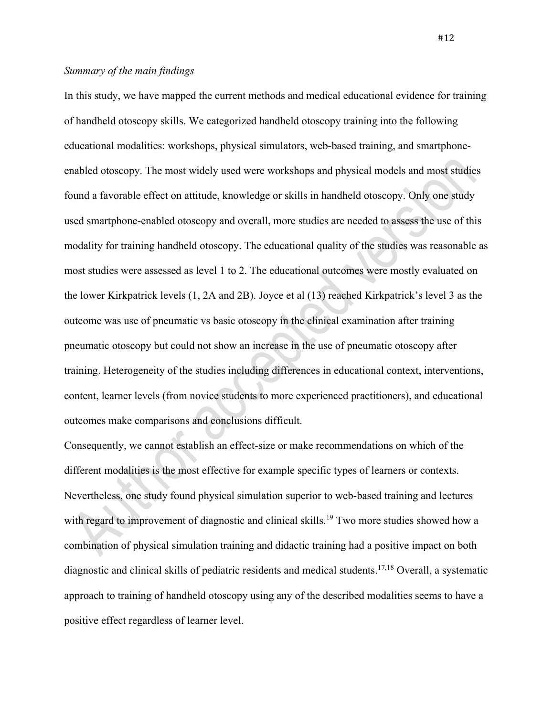# *Summary of the main findings*

In this study, we have mapped the current methods and medical educational evidence for training of handheld otoscopy skills. We categorized handheld otoscopy training into the following educational modalities: workshops, physical simulators, web-based training, and smartphoneenabled otoscopy. The most widely used were workshops and physical models and most studies found a favorable effect on attitude, knowledge or skills in handheld otoscopy. Only one study used smartphone-enabled otoscopy and overall, more studies are needed to assess the use of this modality for training handheld otoscopy. The educational quality of the studies was reasonable as most studies were assessed as level 1 to 2. The educational outcomes were mostly evaluated on the lower Kirkpatrick levels (1, 2A and 2B). Joyce et al (13) reached Kirkpatrick's level 3 as the outcome was use of pneumatic vs basic otoscopy in the clinical examination after training pneumatic otoscopy but could not show an increase in the use of pneumatic otoscopy after training. Heterogeneity of the studies including differences in educational context, interventions, content, learner levels (from novice students to more experienced practitioners), and educational outcomes make comparisons and conclusions difficult.

Consequently, we cannot establish an effect-size or make recommendations on which of the different modalities is the most effective for example specific types of learners or contexts. Nevertheless, one study found physical simulation superior to web-based training and lectures with regard to improvement of diagnostic and clinical skills.<sup>19</sup> Two more studies showed how a combination of physical simulation training and didactic training had a positive impact on both diagnostic and clinical skills of pediatric residents and medical students.17,18 Overall, a systematic approach to training of handheld otoscopy using any of the described modalities seems to have a positive effect regardless of learner level.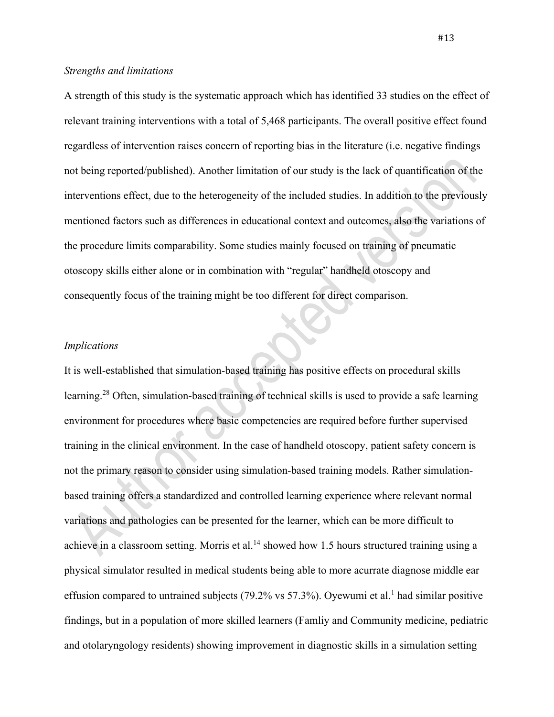### *Strengths and limitations*

A strength of this study is the systematic approach which has identified 33 studies on the effect of relevant training interventions with a total of 5,468 participants. The overall positive effect found regardless of intervention raises concern of reporting bias in the literature (i.e. negative findings not being reported/published). Another limitation of our study is the lack of quantification of the interventions effect, due to the heterogeneity of the included studies. In addition to the previously mentioned factors such as differences in educational context and outcomes, also the variations of the procedure limits comparability. Some studies mainly focused on training of pneumatic otoscopy skills either alone or in combination with "regular" handheld otoscopy and consequently focus of the training might be too different for direct comparison.

### *Implications*

It is well-established that simulation-based training has positive effects on procedural skills learning.<sup>28</sup> Often, simulation-based training of technical skills is used to provide a safe learning environment for procedures where basic competencies are required before further supervised training in the clinical environment. In the case of handheld otoscopy, patient safety concern is not the primary reason to consider using simulation-based training models. Rather simulationbased training offers a standardized and controlled learning experience where relevant normal variations and pathologies can be presented for the learner, which can be more difficult to achieve in a classroom setting. Morris et al.<sup>14</sup> showed how 1.5 hours structured training using a physical simulator resulted in medical students being able to more acurrate diagnose middle ear effusion compared to untrained subjects (79.2% vs 57.3%). Oyewumi et al.<sup>1</sup> had similar positive findings, but in a population of more skilled learners (Famliy and Community medicine, pediatric and otolaryngology residents) showing improvement in diagnostic skills in a simulation setting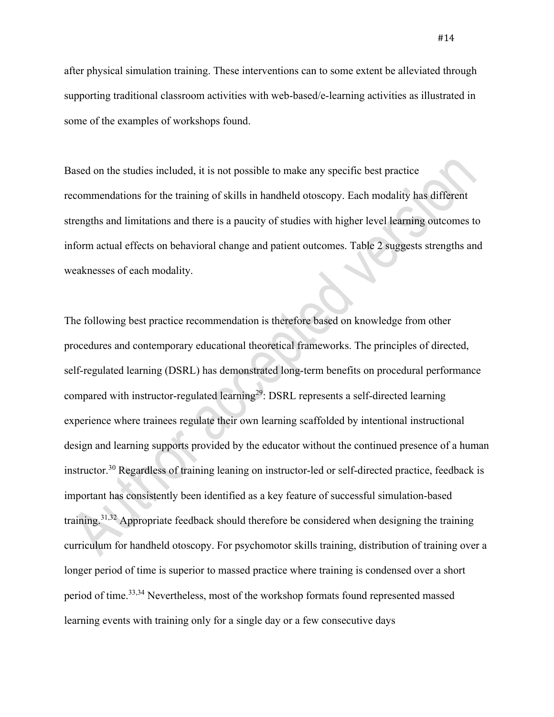after physical simulation training. These interventions can to some extent be alleviated through supporting traditional classroom activities with web-based/e-learning activities as illustrated in some of the examples of workshops found.

Based on the studies included, it is not possible to make any specific best practice recommendations for the training of skills in handheld otoscopy. Each modality has different strengths and limitations and there is a paucity of studies with higher level learning outcomes to inform actual effects on behavioral change and patient outcomes. Table 2 suggests strengths and weaknesses of each modality.

The following best practice recommendation is therefore based on knowledge from other procedures and contemporary educational theoretical frameworks. The principles of directed, self-regulated learning (DSRL) has demonstrated long-term benefits on procedural performance compared with instructor-regulated learning<sup>29</sup>: DSRL represents a self-directed learning experience where trainees regulate their own learning scaffolded by intentional instructional design and learning supports provided by the educator without the continued presence of a human instructor.<sup>30</sup> Regardless of training leaning on instructor-led or self-directed practice, feedback is important has consistently been identified as a key feature of successful simulation-based training.<sup>31,32</sup> Appropriate feedback should therefore be considered when designing the training curriculum for handheld otoscopy. For psychomotor skills training, distribution of training over a longer period of time is superior to massed practice where training is condensed over a short period of time.<sup>33,34</sup> Nevertheless, most of the workshop formats found represented massed learning events with training only for a single day or a few consecutive days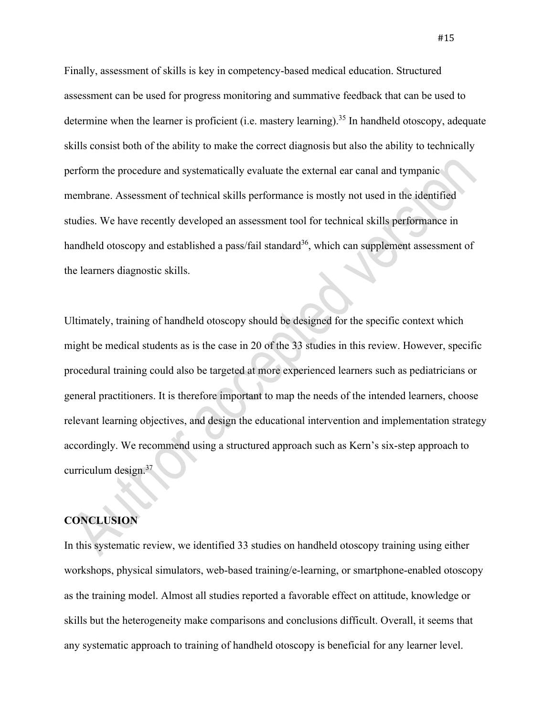Finally, assessment of skills is key in competency-based medical education. Structured assessment can be used for progress monitoring and summative feedback that can be used to determine when the learner is proficient (i.e. mastery learning).<sup>35</sup> In handheld otoscopy, adequate skills consist both of the ability to make the correct diagnosis but also the ability to technically perform the procedure and systematically evaluate the external ear canal and tympanic membrane. Assessment of technical skills performance is mostly not used in the identified studies. We have recently developed an assessment tool for technical skills performance in handheld otoscopy and established a pass/fail standard<sup>36</sup>, which can supplement assessment of the learners diagnostic skills.

Ultimately, training of handheld otoscopy should be designed for the specific context which might be medical students as is the case in 20 of the 33 studies in this review. However, specific procedural training could also be targeted at more experienced learners such as pediatricians or general practitioners. It is therefore important to map the needs of the intended learners, choose relevant learning objectives, and design the educational intervention and implementation strategy accordingly. We recommend using a structured approach such as Kern's six-step approach to curriculum design. 37

### **CONCLUSION**

In this systematic review, we identified 33 studies on handheld otoscopy training using either workshops, physical simulators, web-based training/e-learning, or smartphone-enabled otoscopy as the training model. Almost all studies reported a favorable effect on attitude, knowledge or skills but the heterogeneity make comparisons and conclusions difficult. Overall, it seems that any systematic approach to training of handheld otoscopy is beneficial for any learner level.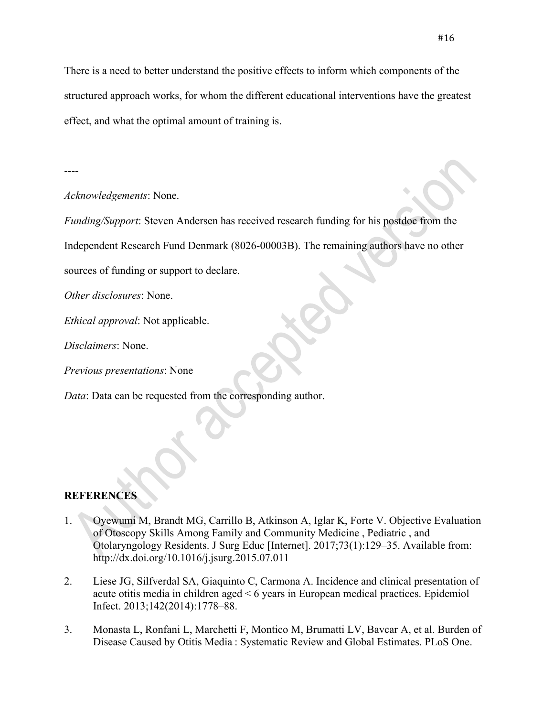There is a need to better understand the positive effects to inform which components of the structured approach works, for whom the different educational interventions have the greatest effect, and what the optimal amount of training is.

----

### *Acknowledgements*: None.

*Funding/Support*: Steven Andersen has received research funding for his postdoc from the

Independent Research Fund Denmark (8026-00003B). The remaining authors have no other

sources of funding or support to declare.

*Other disclosures*: None.

*Ethical approval*: Not applicable.

*Disclaimers*: None.

*Previous presentations*: None

*Data*: Data can be requested from the corresponding author.

## **REFERENCES**

- 1. Oyewumi M, Brandt MG, Carrillo B, Atkinson A, Iglar K, Forte V. Objective Evaluation of Otoscopy Skills Among Family and Community Medicine , Pediatric , and Otolaryngology Residents. J Surg Educ [Internet]. 2017;73(1):129–35. Available from: http://dx.doi.org/10.1016/j.jsurg.2015.07.011
- 2. Liese JG, Silfverdal SA, Giaquinto C, Carmona A. Incidence and clinical presentation of acute otitis media in children aged < 6 years in European medical practices. Epidemiol Infect. 2013;142(2014):1778–88.
- 3. Monasta L, Ronfani L, Marchetti F, Montico M, Brumatti LV, Bavcar A, et al. Burden of Disease Caused by Otitis Media : Systematic Review and Global Estimates. PLoS One.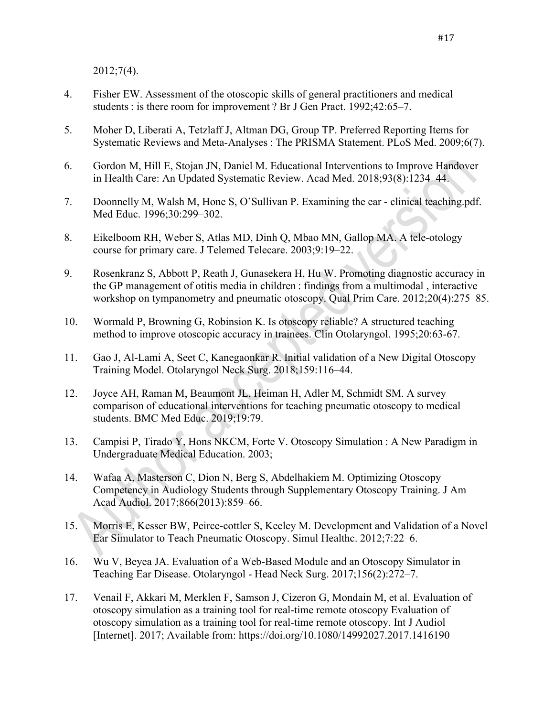2012;7(4).

- 4. Fisher EW. Assessment of the otoscopic skills of general practitioners and medical students : is there room for improvement ? Br J Gen Pract. 1992;42:65–7.
- 5. Moher D, Liberati A, Tetzlaff J, Altman DG, Group TP. Preferred Reporting Items for Systematic Reviews and Meta-Analyses : The PRISMA Statement. PLoS Med. 2009;6(7).
- 6. Gordon M, Hill E, Stojan JN, Daniel M. Educational Interventions to Improve Handover in Health Care: An Updated Systematic Review. Acad Med. 2018;93(8):1234–44.
- 7. Doonnelly M, Walsh M, Hone S, O'Sullivan P. Examining the ear clinical teaching.pdf. Med Educ. 1996;30:299–302.
- 8. Eikelboom RH, Weber S, Atlas MD, Dinh Q, Mbao MN, Gallop MA. A tele-otology course for primary care. J Telemed Telecare. 2003;9:19–22.
- 9. Rosenkranz S, Abbott P, Reath J, Gunasekera H, Hu W. Promoting diagnostic accuracy in the GP management of otitis media in children : findings from a multimodal , interactive workshop on tympanometry and pneumatic otoscopy. Qual Prim Care. 2012;20(4):275–85.
- 10. Wormald P, Browning G, Robinsion K. Is otoscopy reliable? A structured teaching method to improve otoscopic accuracy in trainees. Clin Otolaryngol. 1995;20:63-67.
- 11. Gao J, Al-Lami A, Seet C, Kanegaonkar R. Initial validation of a New Digital Otoscopy Training Model. Otolaryngol Neck Surg. 2018;159:116–44.
- 12. Joyce AH, Raman M, Beaumont JL, Heiman H, Adler M, Schmidt SM. A survey comparison of educational interventions for teaching pneumatic otoscopy to medical students. BMC Med Educ. 2019;19:79.
- 13. Campisi P, Tirado Y, Hons NKCM, Forte V. Otoscopy Simulation : A New Paradigm in Undergraduate Medical Education. 2003;
- 14. Wafaa A, Masterson C, Dion N, Berg S, Abdelhakiem M. Optimizing Otoscopy Competency in Audiology Students through Supplementary Otoscopy Training. J Am Acad Audiol. 2017;866(2013):859–66.
- 15. Morris E, Kesser BW, Peirce-cottler S, Keeley M. Development and Validation of a Novel Ear Simulator to Teach Pneumatic Otoscopy. Simul Healthc. 2012;7:22–6.
- 16. Wu V, Beyea JA. Evaluation of a Web-Based Module and an Otoscopy Simulator in Teaching Ear Disease. Otolaryngol - Head Neck Surg. 2017;156(2):272–7.
- 17. Venail F, Akkari M, Merklen F, Samson J, Cizeron G, Mondain M, et al. Evaluation of otoscopy simulation as a training tool for real-time remote otoscopy Evaluation of otoscopy simulation as a training tool for real-time remote otoscopy. Int J Audiol [Internet]. 2017; Available from: https://doi.org/10.1080/14992027.2017.1416190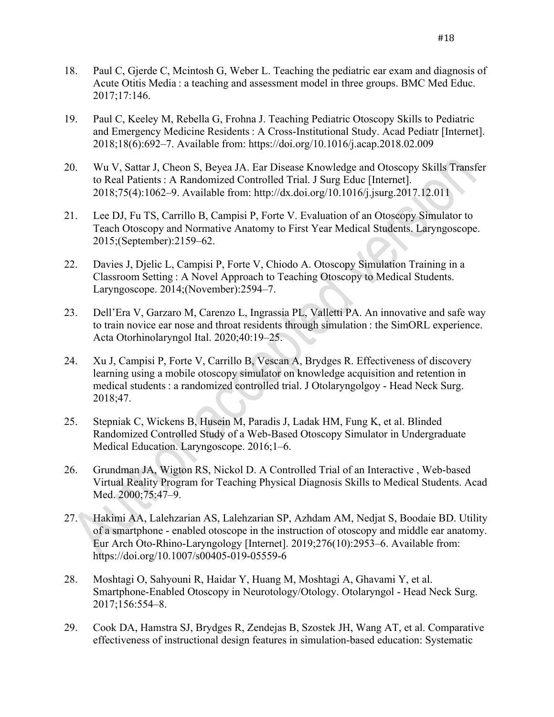- 18. Paul C, Gjerde C, Mcintosh G, Weber L. Teaching the pediatric ear exam and diagnosis of Acute Otitis Media : a teaching and assessment model in three groups. BMC Med Educ. 2017;17:146.
- 19. Paul C, Keeley M, Rebella G, Frohna J. Teaching Pediatric Otoscopy Skills to Pediatric and Emergency Medicine Residents : A Cross-Institutional Study. Acad Pediatr [Internet]. 2018;18(6):692–7. Available from: https://doi.org/10.1016/j.acap.2018.02.009
- 20. Wu V, Sattar J, Cheon S, Beyea JA. Ear Disease Knowledge and Otoscopy Skills Transfer to Real Patients : A Randomized Controlled Trial. J Surg Educ [Internet]. 2018;75(4):1062–9. Available from: http://dx.doi.org/10.1016/j.jsurg.2017.12.011
- 21. Lee DJ, Fu TS, Carrillo B, Campisi P, Forte V. Evaluation of an Otoscopy Simulator to Teach Otoscopy and Normative Anatomy to First Year Medical Students. Laryngoscope. 2015;(September):2159–62.
- 22. Davies J, Djelic L, Campisi P, Forte V, Chiodo A. Otoscopy Simulation Training in a Classroom Setting : A Novel Approach to Teaching Otoscopy to Medical Students. Laryngoscope. 2014;(November):2594–7.
- 23. Dell'Era V, Garzaro M, Carenzo L, Ingrassia PL, Valletti PA. An innovative and safe way to train novice ear nose and throat residents through simulation : the SimORL experience. Acta Otorhinolaryngol Ital. 2020;40:19–25.
- 24. Xu J, Campisi P, Forte V, Carrillo B, Vescan A, Brydges R. Effectiveness of discovery learning using a mobile otoscopy simulator on knowledge acquisition and retention in medical students : a randomized controlled trial. J Otolaryngolgoy - Head Neck Surg. 2018;47.
- 25. Stepniak C, Wickens B, Husein M, Paradis J, Ladak HM, Fung K, et al. Blinded Randomized Controlled Study of a Web-Based Otoscopy Simulator in Undergraduate Medical Education. Laryngoscope. 2016;1–6.
- 26. Grundman JA, Wigton RS, Nickol D. A Controlled Trial of an Interactive , Web-based Virtual Reality Program for Teaching Physical Diagnosis Skills to Medical Students. Acad Med. 2000;75:47–9.
- 27. Hakimi AA, Lalehzarian AS, Lalehzarian SP, Azhdam AM, Nedjat S, Boodaie BD. Utility of a smartphone ‑ enabled otoscope in the instruction of otoscopy and middle ear anatomy. Eur Arch Oto-Rhino-Laryngology [Internet]. 2019;276(10):2953–6. Available from: https://doi.org/10.1007/s00405-019-05559-6
- 28. Moshtagi O, Sahyouni R, Haidar Y, Huang M, Moshtagi A, Ghavami Y, et al. Smartphone-Enabled Otoscopy in Neurotology/Otology. Otolaryngol - Head Neck Surg. 2017;156:554–8.
- 29. Cook DA, Hamstra SJ, Brydges R, Zendejas B, Szostek JH, Wang AT, et al. Comparative effectiveness of instructional design features in simulation-based education: Systematic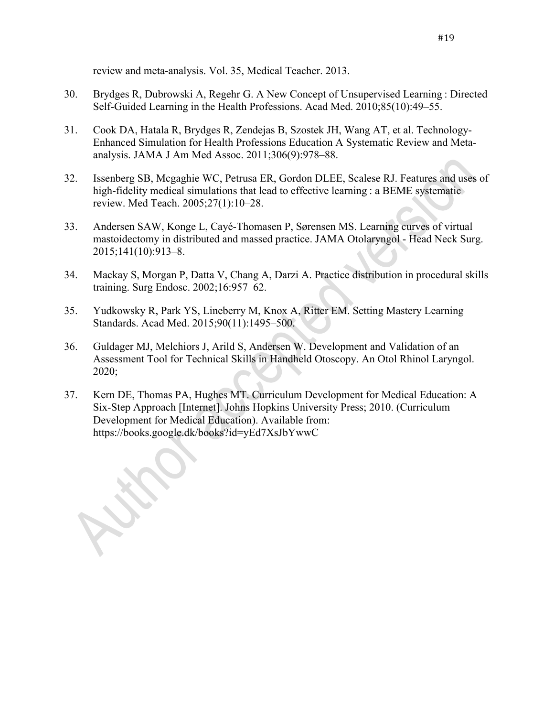review and meta-analysis. Vol. 35, Medical Teacher. 2013.

- 30. Brydges R, Dubrowski A, Regehr G. A New Concept of Unsupervised Learning : Directed Self-Guided Learning in the Health Professions. Acad Med. 2010;85(10):49–55.
- 31. Cook DA, Hatala R, Brydges R, Zendejas B, Szostek JH, Wang AT, et al. Technology-Enhanced Simulation for Health Professions Education A Systematic Review and Metaanalysis. JAMA J Am Med Assoc. 2011;306(9):978–88.
- 32. Issenberg SB, Mcgaghie WC, Petrusa ER, Gordon DLEE, Scalese RJ. Features and uses of high-fidelity medical simulations that lead to effective learning : a BEME systematic review. Med Teach. 2005;27(1):10–28.
- 33. Andersen SAW, Konge L, Cayé-Thomasen P, Sørensen MS. Learning curves of virtual mastoidectomy in distributed and massed practice. JAMA Otolaryngol - Head Neck Surg. 2015;141(10):913–8.
- 34. Mackay S, Morgan P, Datta V, Chang A, Darzi A. Practice distribution in procedural skills training. Surg Endosc. 2002;16:957–62.
- 35. Yudkowsky R, Park YS, Lineberry M, Knox A, Ritter EM. Setting Mastery Learning Standards. Acad Med. 2015;90(11):1495–500.
- 36. Guldager MJ, Melchiors J, Arild S, Andersen W. Development and Validation of an Assessment Tool for Technical Skills in Handheld Otoscopy. An Otol Rhinol Laryngol. 2020;
- 37. Kern DE, Thomas PA, Hughes MT. Curriculum Development for Medical Education: A Six-Step Approach [Internet]. Johns Hopkins University Press; 2010. (Curriculum Development for Medical Education). Available from: https://books.google.dk/books?id=yEd7XsJbYwwC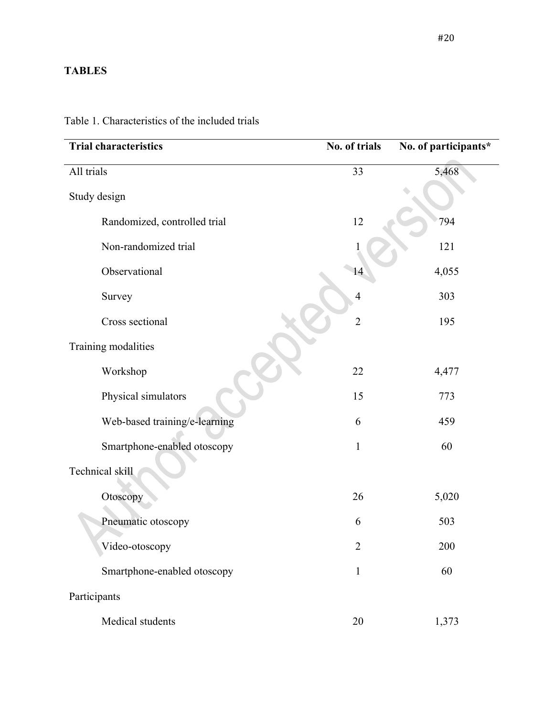# **TABLES**

| <b>Trial characteristics</b>  | No. of trials  | No. of participants* |
|-------------------------------|----------------|----------------------|
| All trials                    | 33             | 5,468                |
| Study design                  |                |                      |
| Randomized, controlled trial  | 12             | 794                  |
| Non-randomized trial          |                | 121                  |
| Observational                 | 14             | 4,055                |
| Survey                        | $\overline{4}$ | 303                  |
| Cross sectional               | $\overline{2}$ | 195                  |
| Training modalities           |                |                      |
| Workshop                      | 22             | 4,477                |
| Physical simulators           | 15             | 773                  |
| Web-based training/e-learning | 6              | 459                  |
| Smartphone-enabled otoscopy   | $\mathbf{1}$   | 60                   |
| Technical skill               |                |                      |
| Otoscopy                      | 26             | 5,020                |
| Pneumatic otoscopy            | 6              | 503                  |
| Video-otoscopy                | $\overline{2}$ | 200                  |
| Smartphone-enabled otoscopy   | $\mathbf{1}$   | 60                   |
| Participants                  |                |                      |
| Medical students              | 20             | 1,373                |

Table 1. Characteristics of the included trials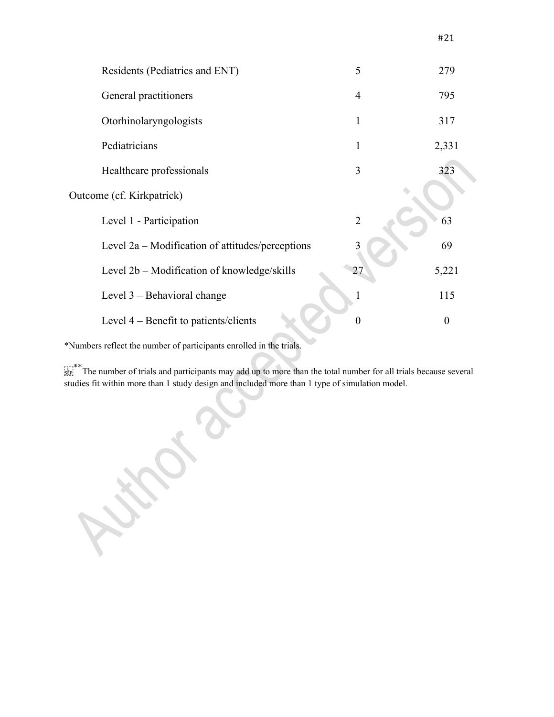| Residents (Pediatrics and ENT)                   | 5              | 279              |
|--------------------------------------------------|----------------|------------------|
| General practitioners                            | 4              | 795              |
| Otorhinolaryngologists                           | 1              | 317              |
| Pediatricians                                    | 1              | 2,331            |
| Healthcare professionals                         | 3              | 323              |
| Outcome (cf. Kirkpatrick)                        |                |                  |
| Level 1 - Participation                          | $\overline{2}$ | 63               |
| Level 2a – Modification of attitudes/perceptions |                | 69               |
| Level 2b – Modification of knowledge/skills      | 27             | 5,221            |
| Level $3$ – Behavioral change                    |                | 115              |
| Level 4 – Benefit to patients/clients            | $\theta$       | $\boldsymbol{0}$ |
|                                                  |                |                  |

\*Numbers reflect the number of participants enrolled in the trials.

 $\sum_{s \in P_1}^{r+*}$  The number of trials and participants may add up to more than the total number for all trials because several studies fit within more than 1 study design and included more than 1 type of simulation model.

 $\bullet$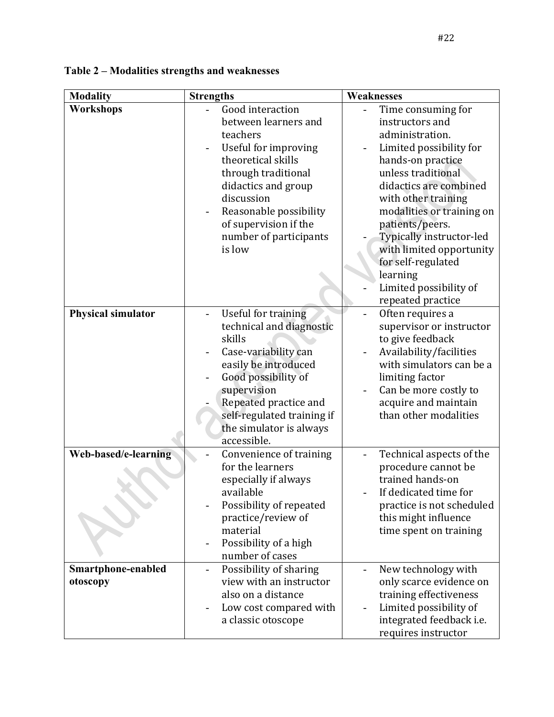| <b>Modality</b>                | <b>Strengths</b>                                                                                                                                                                                                                                      | Weaknesses                                                                                                                                                                                                                                                                                                                                                               |
|--------------------------------|-------------------------------------------------------------------------------------------------------------------------------------------------------------------------------------------------------------------------------------------------------|--------------------------------------------------------------------------------------------------------------------------------------------------------------------------------------------------------------------------------------------------------------------------------------------------------------------------------------------------------------------------|
| Workshops                      | Good interaction<br>between learners and<br>teachers<br>Useful for improving<br>theoretical skills<br>through traditional<br>didactics and group<br>discussion<br>Reasonable possibility<br>of supervision if the<br>number of participants<br>is low | Time consuming for<br>instructors and<br>administration.<br>Limited possibility for<br>hands-on practice<br>unless traditional<br>didactics are combined<br>with other training<br>modalities or training on<br>patients/peers.<br>Typically instructor-led<br>with limited opportunity<br>for self-regulated<br>learning<br>Limited possibility of<br>repeated practice |
| <b>Physical simulator</b>      | Useful for training<br>technical and diagnostic<br>skills<br>Case-variability can<br>easily be introduced<br>Good possibility of<br>supervision<br>Repeated practice and<br>self-regulated training if<br>the simulator is always<br>accessible.      | Often requires a<br>$\overline{\phantom{0}}$<br>supervisor or instructor<br>to give feedback<br>Availability/facilities<br>with simulators can be a<br>limiting factor<br>Can be more costly to<br>acquire and maintain<br>than other modalities                                                                                                                         |
| Web-based/e-learning           | Convenience of training<br>for the learners<br>especially if always<br>available<br>Possibility of repeated<br>practice/review of<br>material<br>Possibility of a high<br>$\overline{\phantom{a}}$<br>number of cases                                 | Technical aspects of the<br>procedure cannot be<br>trained hands-on<br>If dedicated time for<br>practice is not scheduled<br>this might influence<br>time spent on training                                                                                                                                                                                              |
| Smartphone-enabled<br>otoscopy | Possibility of sharing<br>$\overline{\phantom{a}}$<br>view with an instructor<br>also on a distance<br>Low cost compared with<br>a classic otoscope                                                                                                   | New technology with<br>only scarce evidence on<br>training effectiveness<br>Limited possibility of<br>integrated feedback i.e.<br>requires instructor                                                                                                                                                                                                                    |

**Table 2 – Modalities strengths and weaknesses**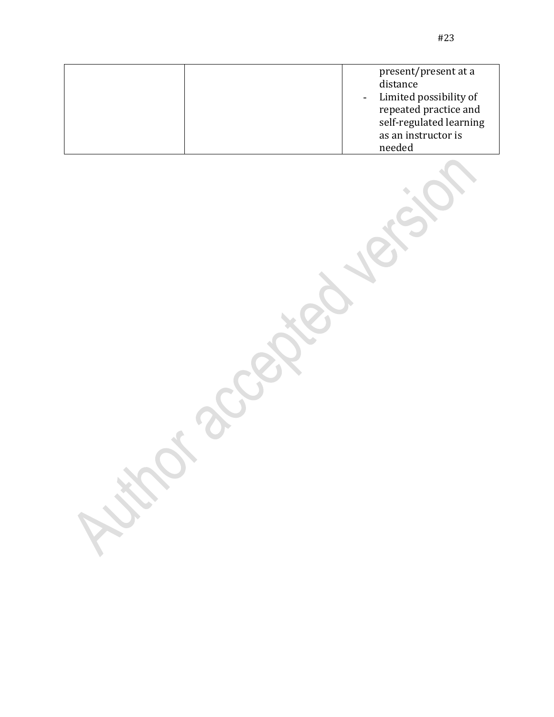|  | present/present at a<br>distance<br>- Limited possibility of<br>repeated practice and<br>self-regulated learning |
|--|------------------------------------------------------------------------------------------------------------------|

as an instructor is

needed